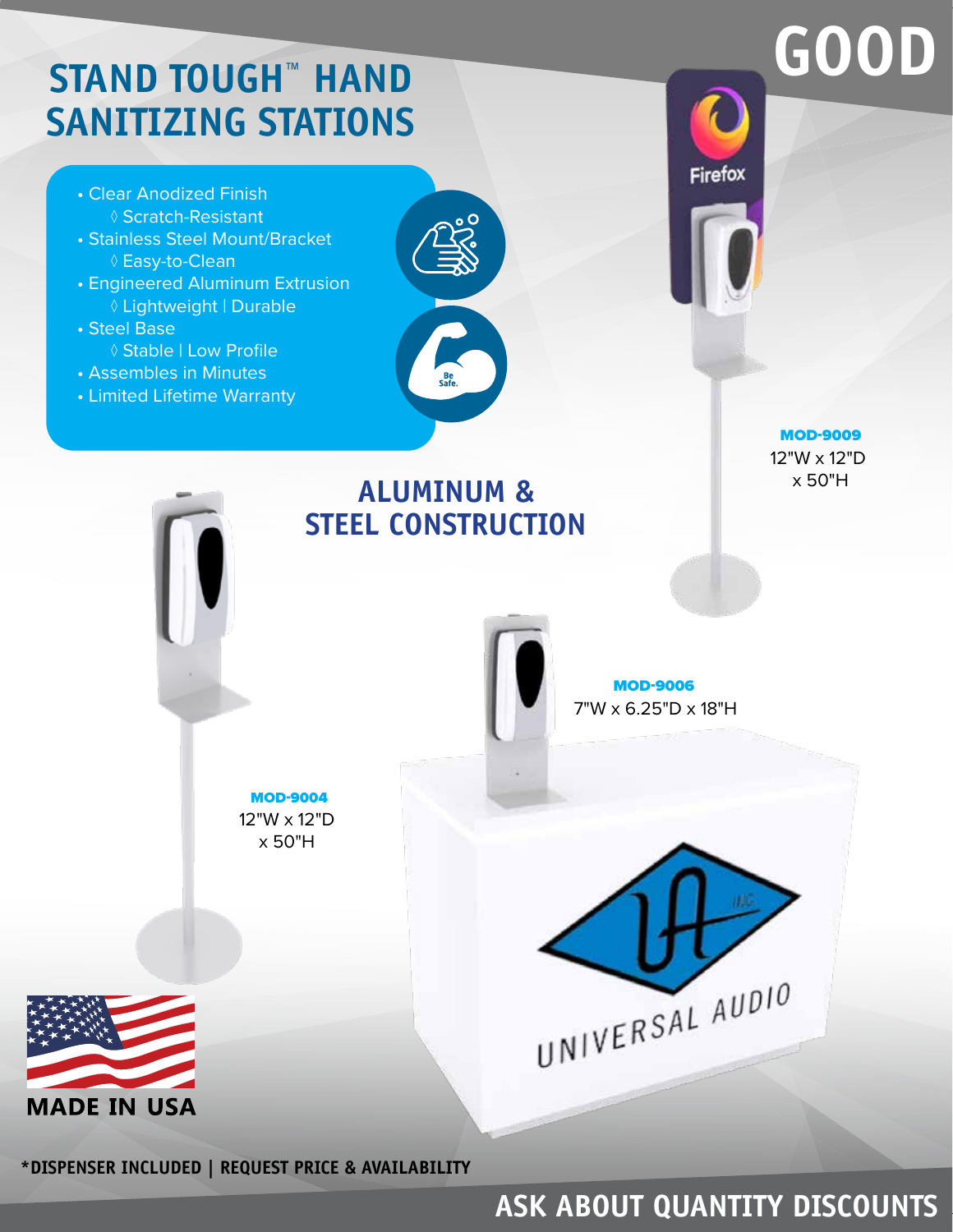## **STAND TOUGH™ HAND SANITIZING STATIONS**

- Clear Anodized Finish ◊ Scratch-Resistant
- Stainless Steel Mount/Bracket ◊ Easy-to-Clean
- Engineered Aluminum Extrusion ◊ Lightweight | Durable
- Steel Base ◊ Stable | Low Profile
- Assembles in Minutes
- Limited Lifetime Warranty



**Firefox** 

## MOD-9009 12"W x 12"D x 50"H **ALUMINUM & STEEL CONSTRUCTION** MOD-9006 7"W x 6.25"D x 18"H MOD-900412"W x 12"D x 50"H UNIVERSAL AUDIO **MADE IN USA**

**\*DISPENSER INCLUDED | REQUEST PRICE & AVAILABILITY** 

#### **ASK ABOUT QUANTITY DISCOUNTS**

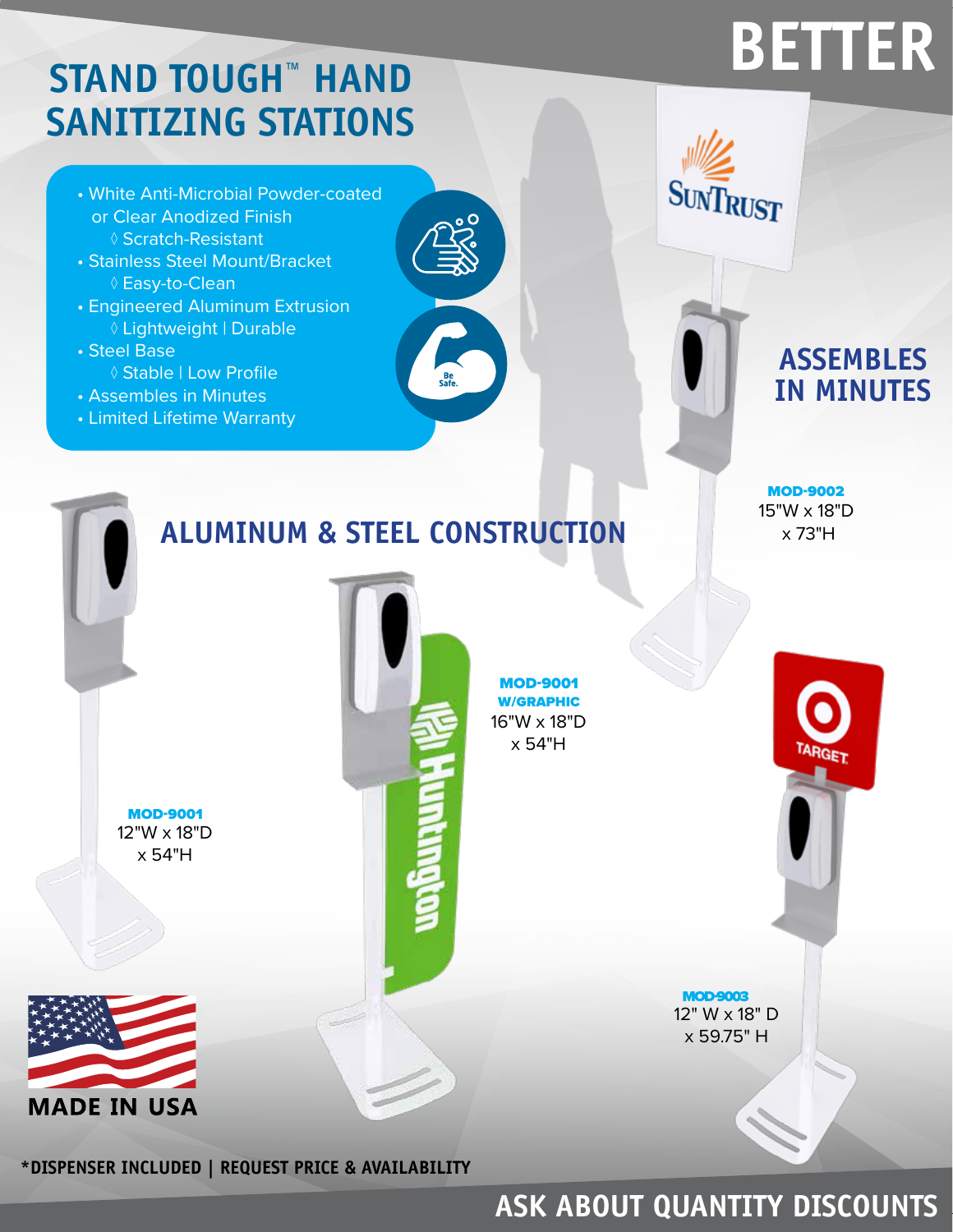# **BETTER**

## **STAND TOUGH™ HAND SANITIZING STATIONS**

- White Anti-Microbial Powder-coated or Clear Anodized Finish ◊ Scratch-Resistant
- Stainless Steel Mount/Bracket ◊ Easy-to-Clean
- Engineered Aluminum Extrusion ◊ Lightweight | Durable
- Steel Base
	- ◊ Stable | Low Profile
- Assembles in Minutes
- Limited Lifetime Warranty



#### **ASSEMBLES IN MINUTES**



#### **ASK ABOUT QUANTITY DISCOUNTS**